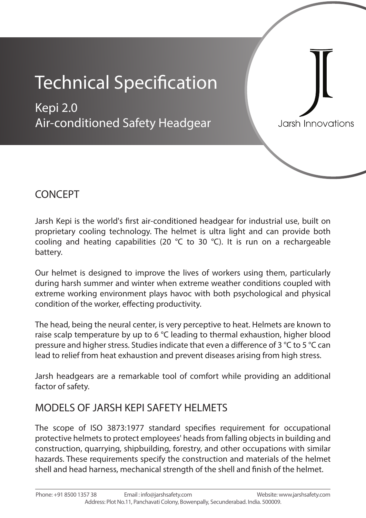# **Technical Specification**

Kepi 2.0 Air-conditioned Safety Headgear

Jarsh Innovations

### **CONCEPT**

Jarsh Kepi is the world's first air-conditioned headgear for industrial use, built on proprietary cooling technology. The helmet is ultra light and can provide both cooling and heating capabilities (20  $\degree$ C to 30  $\degree$ C). It is run on a rechargeable battery.

Our helmet is designed to improve the lives of workers using them, particularly during harsh summer and winter when extreme weather conditions coupled with extreme working environment plays havoc with both psychological and physical condition of the worker, effecting productivity.

The head, being the neural center, is very perceptive to heat. Helmets are known to raise scalp temperature by up to 6 °C leading to thermal exhaustion, higher blood pressure and higher stress. Studies indicate that even a difference of 3  $\degree$ C to 5  $\degree$ C can lead to relief from heat exhaustion and prevent diseases arising from high stress.

Jarsh headgears are a remarkable tool of comfort while providing an additional factor of safety.

### **MODELS OF JARSH KEPI SAFETY HELMETS**

The scope of ISO 3873:1977 standard specifies requirement for occupational protective helmets to protect employees' heads from falling objects in building and construction, quarrying, shipbuilding, forestry, and other occupations with similar hazards. These requirements specify the construction and materials of the helmet shell and head harness, mechanical strength of the shell and finish of the helmet.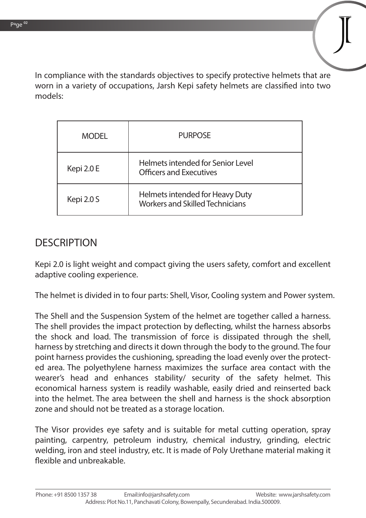In compliance with the standards objectives to specify protective helmets that are worn in a variety of occupations, Jarsh Kepi safety helmets are classified into two models:

| <b>MODEL</b> | <b>PURPOSE</b>                                                            |  |
|--------------|---------------------------------------------------------------------------|--|
| Kepi 2.0 E   | Helmets intended for Senior Level<br><b>Officers and Executives</b>       |  |
| Kepi 2.0 S   | Helmets intended for Heavy Duty<br><b>Workers and Skilled Technicians</b> |  |

#### **DESCRIPTION**

Kepi 2.0 is light weight and compact giving the users safety, comfort and excellent adaptive cooling experience.

The helmet is divided in to four parts: Shell, Visor, Cooling system and Power system.

The **Shell and the Suspension System** of the helmet are together called a harness. The shell provides the impact protection by deflecting, whilst the harness absorbs the shock and load. The transmission of force is dissipated through the shell, harness by stretching and directs it down through the body to the ground. The four point harness provides the cushioning, spreading the load evenly over the protected area. The polyethylene harness maximizes the surface area contact with the wearer's head and enhances stability/ security of the safety helmet. This economical harness system is readily washable, easily dried and reinserted back into the helmet. The area between the shell and harness is the shock absorption zone and should not be treated as a storage location.

The **Visor** provides eye safety and is suitable for metal cutting operation, spray painting, carpentry, petroleum industry, chemical industry, grinding, electric welding, iron and steel industry, etc. It is made of Poly Urethane material making it flexible and unbreakable.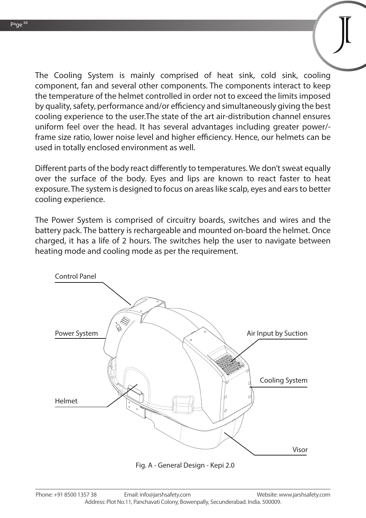The **Cooling System** is mainly comprised of heat sink, cold sink, cooling component, fan and several other components. The components interact to keep the temperature of the helmet controlled in order not to exceed the limits imposed by quality, safety, performance and/or efficiency and simultaneously giving the best cooling experience to the user.The state of the art air-distribution channel ensures uniform feel over the head. It has several advantages including greater power/ frame size ratio, lower noise level and higher efficiency. Hence, our helmets can be used in totally enclosed environment as well.

Different parts of the body react differently to temperatures. We don't sweat equally over the surface of the body. Eyes and lips are known to react faster to heat exposure. The system is designed to focus on areas like scalp, eyes and ears to better cooling experience.

The **Power System** is comprised of circuitry boards, switches and wires and the battery pack. The battery is rechargeable and mounted on-board the helmet. Once charged, it has a life of 2 hours. The switches help the user to navigate between heating mode and cooling mode as per the requirement.



Fig. A - General Design - Kepi 2.0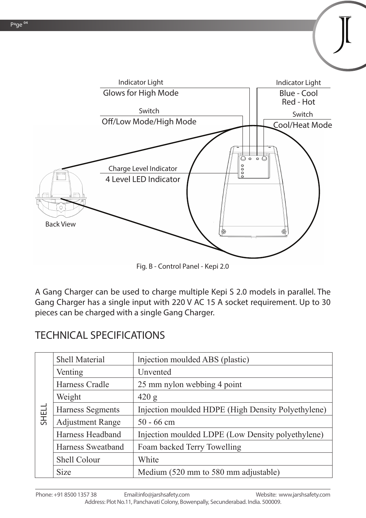

Fig. B - Control Panel - Kepi 2.0

A **Gang Charger** can be used to charge multiple Kepi S 2.0 models in parallel. The Gang Charger has a single input with 220 V AC 15 A socket requirement. Up to 30 pieces can be charged with a single Gang Charger.

# **TECHNICAL SPECIFICATIONS**

| <b>SHELL</b> | <b>Shell Material</b>   | Injection moulded ABS (plastic)                    |  |
|--------------|-------------------------|----------------------------------------------------|--|
|              | Venting                 | Unvented                                           |  |
|              | Harness Cradle          | 25 mm nylon webbing 4 point                        |  |
|              | Weight                  | 420 g                                              |  |
|              | Harness Segments        | Injection moulded HDPE (High Density Polyethylene) |  |
|              | <b>Adjustment Range</b> | $50 - 66$ cm                                       |  |
|              | Harness Headband        | Injection moulded LDPE (Low Density polyethylene)  |  |
|              | Harness Sweatband       | Foam backed Terry Towelling                        |  |
|              | <b>Shell Colour</b>     | White                                              |  |
|              | <b>Size</b>             | Medium (520 mm to 580 mm adjustable)               |  |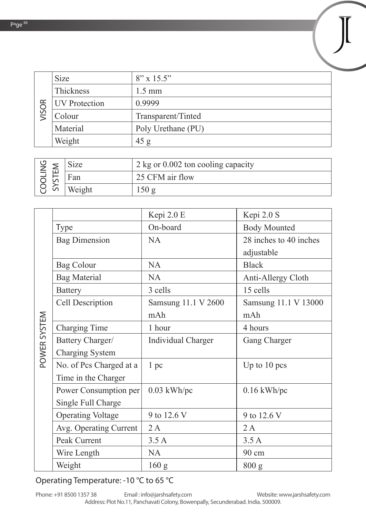| $\propto$<br>VISOI | <b>Size</b>          | $8'' \times 15.5''$ |
|--------------------|----------------------|---------------------|
|                    | <b>Thickness</b>     | $1.5 \text{ mm}$    |
|                    | <b>UV</b> Protection | 0.9999              |
|                    | Colour               | Transparent/Tinted  |
|                    | Material             | Poly Urethane (PU)  |
|                    | Weight               | 45 g                |

| $\geq$       | Size   | $2 \text{ kg}$ or 0.002 ton cooling capacity |  |
|--------------|--------|----------------------------------------------|--|
| $\checkmark$ | tan    | 25 CFM air flow                              |  |
|              | Weight |                                              |  |

|              |                          | Kepi 2.0 E                | Kepi 2.0 S             |
|--------------|--------------------------|---------------------------|------------------------|
|              | <b>Type</b>              | On-board                  | <b>Body Mounted</b>    |
|              | <b>Bag Dimension</b>     | <b>NA</b>                 | 28 inches to 40 inches |
|              |                          |                           | adjustable             |
|              | <b>Bag Colour</b>        | <b>NA</b>                 | <b>Black</b>           |
|              | <b>Bag Material</b>      | <b>NA</b>                 | Anti-Allergy Cloth     |
|              | <b>Battery</b>           | 3 cells                   | 15 cells               |
|              | <b>Cell Description</b>  | Samsung 11.1 V 2600       | Samsung 11.1 V 13000   |
|              |                          | mAh                       | mAh                    |
|              | <b>Charging Time</b>     | 1 hour                    | 4 hours                |
| POWER SYSTEM | Battery Charger/         | <b>Individual Charger</b> | <b>Gang Charger</b>    |
|              | <b>Charging System</b>   |                           |                        |
|              | No. of Pcs Charged at a  | 1pc                       | Up to $10$ pcs         |
|              | Time in the Charger      |                           |                        |
|              | Power Consumption per    | $0.03$ kWh/pc             | $0.16$ kWh/pc          |
|              | Single Full Charge       |                           |                        |
|              | <b>Operating Voltage</b> | 9 to 12.6 V               | 9 to 12.6 V            |
|              | Avg. Operating Current   | 2A                        | 2A                     |
|              | Peak Current             | 3.5A                      | 3.5A                   |
|              | Wire Length              | <b>NA</b>                 | 90 cm                  |
|              | Weight                   | 160 <sub>g</sub>          | 800 g                  |

#### **Operating Temperature:** -10 °C to 65 °C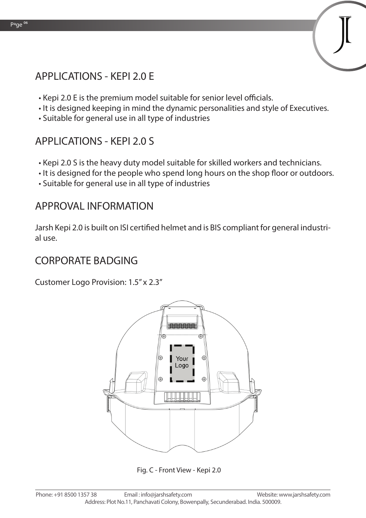# **APPLICATIONS - KEPI 2.0 E**

- Kepi 2.0 E is the premium model suitable for senior level officials.
- It is designed keeping in mind the dynamic personalities and style of Executives.
- Suitable for general use in all type of industries

# **APPLICATIONS - KEPI 2.0 S**

- Kepi 2.0 S is the heavy duty model suitable for skilled workers and technicians.
- It is designed for the people who spend long hours on the shop floor or outdoors.
- Suitable for general use in all type of industries

### **APPROVAL INFORMATION**

Jarsh Kepi 2.0 is built on ISI certified helmet and is BIS compliant for general industrial use.

#### **CORPORATE BADGING**

Customer Logo Provision: 1.5" x 2.3"



Fig. C - Front View - Kepi 2.0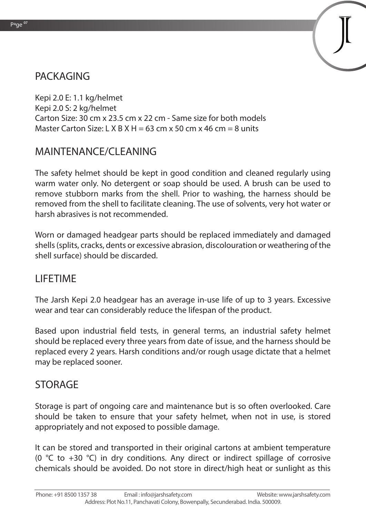### **PACKAGING**

Kepi 2.0 E: 1.1 kg/helmet Kepi 2.0 S: 2 kg/helmet Carton Size: 30 cm x 23.5 cm x 22 cm - Same size for both models Master Carton Size: L X B X H = 63 cm x 50 cm x 46 cm = 8 units

# **MAINTENANCE/CLEANING**

The safety helmet should be kept in good condition and cleaned regularly using warm water only. No detergent or soap should be used. A brush can be used to remove stubborn marks from the shell. Prior to washing, the harness should be removed from the shell to facilitate cleaning. The use of solvents, very hot water or harsh abrasives is not recommended.

Worn or damaged headgear parts should be replaced immediately and damaged shells (splits, cracks, dents or excessive abrasion, discolouration or weathering of the shell surface) should be discarded.

#### **LIFETIME**

The Jarsh Kepi 2.0 headgear has an average in-use life of up to 3 years. Excessive wear and tear can considerably reduce the lifespan of the product.

Based upon industrial field tests, in general terms, an industrial safety helmet should be replaced every three years from date of issue, and the harness should be replaced every 2 years. Harsh conditions and/or rough usage dictate that a helmet may be replaced sooner.

#### **STORAGE**

Storage is part of ongoing care and maintenance but is so often overlooked. Care should be taken to ensure that your safety helmet, when not in use, is stored appropriately and not exposed to possible damage.

It can be stored and transported in their original cartons at ambient temperature (0  $\degree$ C to +30  $\degree$ C) in dry conditions. Any direct or indirect spillage of corrosive chemicals should be avoided. Do not store in direct/high heat or sunlight as this